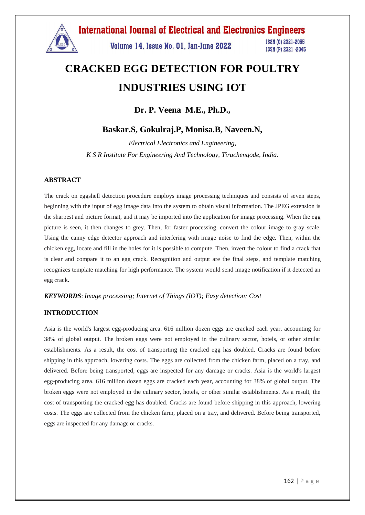

# **CRACKED EGG DETECTION FOR POULTRY INDUSTRIES USING IOT**

**Dr. P. Veena M.E., Ph.D.,**

# **Baskar.S, Gokulraj.P, Monisa.B, Naveen.N,**

*Electrical Electronics and Engineering, K S R Institute For Engineering And Technology, Tiruchengode, India.*

## **ABSTRACT**

The crack on eggshell detection procedure employs image processing techniques and consists of seven steps, beginning with the input of egg image data into the system to obtain visual information. The JPEG extension is the sharpest and picture format, and it may be imported into the application for image processing. When the egg picture is seen, it then changes to grey. Then, for faster processing, convert the colour image to gray scale. Using the canny edge detector approach and interfering with image noise to find the edge. Then, within the chicken egg, locate and fill in the holes for it is possible to compute. Then, invert the colour to find a crack that is clear and compare it to an egg crack. Recognition and output are the final steps, and template matching recognizes template matching for high performance. The system would send image notification if it detected an egg crack.

## *KEYWORDS*: *Image processing; Internet of Things (IOT); Easy detection; Cost*

## **INTRODUCTION**

Asia is the world's largest egg-producing area. 616 million dozen eggs are cracked each year, accounting for 38% of global output. The broken eggs were not employed in the culinary sector, hotels, or other similar establishments. As a result, the cost of transporting the cracked egg has doubled. Cracks are found before shipping in this approach, lowering costs. The eggs are collected from the chicken farm, placed on a tray, and delivered. Before being transported, eggs are inspected for any damage or cracks. Asia is the world's largest egg-producing area. 616 million dozen eggs are cracked each year, accounting for 38% of global output. The broken eggs were not employed in the culinary sector, hotels, or other similar establishments. As a result, the cost of transporting the cracked egg has doubled. Cracks are found before shipping in this approach, lowering costs. The eggs are collected from the chicken farm, placed on a tray, and delivered. Before being transported, eggs are inspected for any damage or cracks.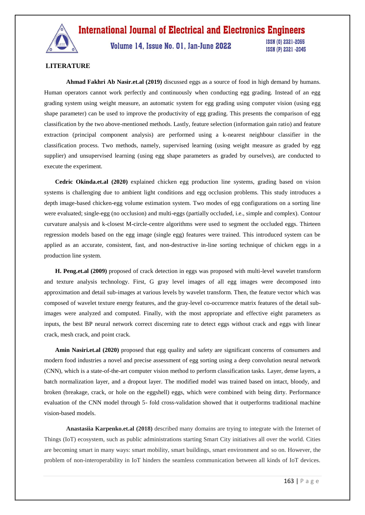

Volume 14, Issue No. 01, Jan-June 2022

**ISSN (0) 2321-2055** ISSN (P) 2321 -2045

# **LITERATURE**

**Ahmad Fakhri Ab Nasir.et.al (2019)** discussed eggs as a source of food in high demand by humans. Human operators cannot work perfectly and continuously when conducting egg grading. Instead of an egg grading system using weight measure, an automatic system for egg grading using computer vision (using egg shape parameter) can be used to improve the productivity of egg grading. This presents the comparison of egg classification by the two above-mentioned methods. Lastly, feature selection (information gain ratio) and feature extraction (principal component analysis) are performed using a k-nearest neighbour classifier in the classification process. Two methods, namely, supervised learning (using weight measure as graded by egg supplier) and unsupervised learning (using egg shape parameters as graded by ourselves), are conducted to execute the experiment.

**Cedric Okinda.et.al (2020)** explained chicken egg production line systems, grading based on vision systems is challenging due to ambient light conditions and egg occlusion problems. This study introduces a depth image-based chicken-egg volume estimation system. Two modes of egg configurations on a sorting line were evaluated; single-egg (no occlusion) and multi-eggs (partially occluded, i.e., simple and complex). Contour curvature analysis and k-closest M-circle-centre algorithms were used to segment the occluded eggs. Thirteen regression models based on the egg image (single egg) features were trained. This introduced system can be applied as an accurate, consistent, fast, and non-destructive in-line sorting technique of chicken eggs in a production line system.

**H. Peng.et.al (2009)** proposed of crack detection in eggs was proposed with multi-level wavelet transform and texture analysis technology. First, G gray level images of all egg images were decomposed into approximation and detail sub-images at various levels by wavelet transform. Then, the feature vector which was composed of wavelet texture energy features, and the gray-level co-occurrence matrix features of the detail subimages were analyzed and computed. Finally, with the most appropriate and effective eight parameters as inputs, the best BP neural network correct discerning rate to detect eggs without crack and eggs with linear crack, mesh crack, and point crack.

**Amin Nasiri.et.al (2020)** proposed that egg quality and safety are significant concerns of consumers and modern food industries a novel and precise assessment of egg sorting using a deep convolution neural network (CNN), which is a state-of-the-art computer vision method to perform classification tasks. Layer, dense layers, a batch normalization layer, and a dropout layer. The modified model was trained based on intact, bloody, and broken (breakage, crack, or hole on the eggshell) eggs, which were combined with being dirty. Performance evaluation of the CNN model through 5- fold cross-validation showed that it outperforms traditional machine vision-based models.

**Anastasiia Karpenko.et.al (2018)** described many domains are trying to integrate with the Internet of Things (IoT) ecosystem, such as public administrations starting Smart City initiatives all over the world. Cities are becoming smart in many ways: smart mobility, smart buildings, smart environment and so on. However, the problem of non-interoperability in IoT hinders the seamless communication between all kinds of IoT devices.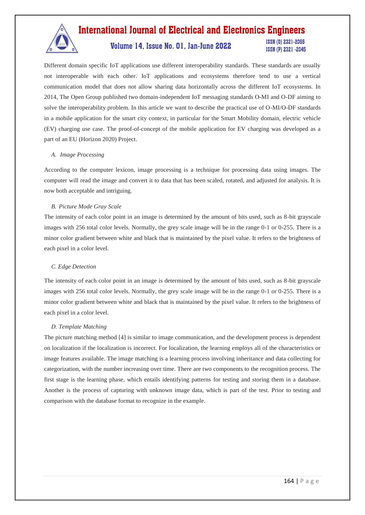

# Volume 14, Issue No. 01, Jan-June 2022

**ISSN (0) 2321-2055** ISSN (P) 2321 -2045

Different domain specific IoT applications use different interoperability standards. These standards are usually not interoperable with each other. IoT applications and ecosystems therefore tend to use a vertical communication model that does not allow sharing data horizontally across the different IoT ecosystems. In 2014, The Open Group published two domain-independent IoT messaging standards O-MI and O-DF aiming to solve the interoperability problem. In this article we want to describe the practical use of O-MI/O-DF standards in a mobile application for the smart city context, in particular for the Smart Mobility domain, electric vehicle (EV) charging use case. The proof-of-concept of the mobile application for EV charging was developed as a part of an EU (Horizon 2020) Project.

# *A. Image Processing*

According to the computer lexicon, image processing is a technique for processing data using images. The computer will read the image and convert it to data that has been scaled, rotated, and adjusted for analysis. It is now both acceptable and intriguing.

# *B. Picture Mode Gray Scale*

The intensity of each color point in an image is determined by the amount of bits used, such as 8-bit grayscale images with 256 total color levels. Normally, the grey scale image will be in the range 0-1 or 0-255. There is a minor color gradient between white and black that is maintained by the pixel value. It refers to the brightness of each pixel in a color level.

# *C. Edge Detection*

The intensity of each color point in an image is determined by the amount of bits used, such as 8-bit grayscale images with 256 total color levels. Normally, the grey scale image will be in the range 0-1 or 0-255. There is a minor color gradient between white and black that is maintained by the pixel value. It refers to the brightness of each pixel in a color level.

# *D. Template Matching*

The picture matching method [4] is similar to image communication, and the development process is dependent on localization if the localization is incorrect. For localization, the learning employs all of the characteristics or image features available. The image matching is a learning process involving inheritance and data collecting for categorization, with the number increasing over time. There are two components to the recognition process. The first stage is the learning phase, which entails identifying patterns for testing and storing them in a database. Another is the process of capturing with unknown image data, which is part of the test. Prior to testing and comparison with the database format to recognize in the example.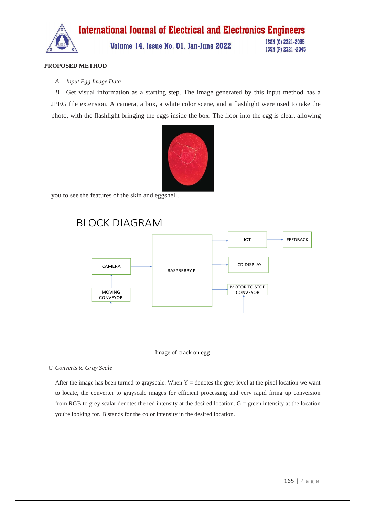

## **PROPOSED METHOD**

#### *A. Input Egg Image Data*

*B.* Get visual information as a starting step. The image generated by this input method has a JPEG file extension. A camera, a box, a white color scene, and a flashlight were used to take the photo, with the flashlight bringing the eggs inside the box. The floor into the egg is clear, allowing



you to see the features of the skin and eggshell.

# BLOCK DIAGRAM





#### *C. Converts to Gray Scale*

After the image has been turned to grayscale. When  $Y =$  denotes the grey level at the pixel location we want to locate, the converter to grayscale images for efficient processing and very rapid firing up conversion from RGB to grey scalar denotes the red intensity at the desired location.  $G =$  green intensity at the location you're looking for. B stands for the color intensity in the desired location.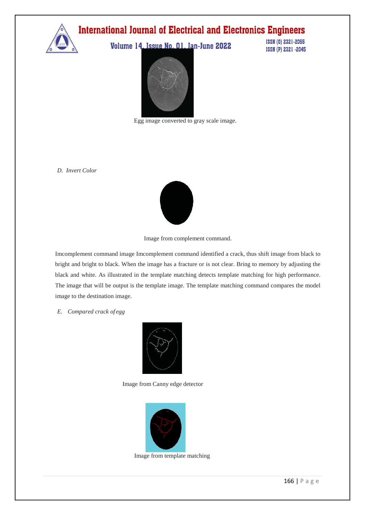

Volume 14, Issue No. 01, Jan-June 2022

ISSN (0) 2321-2055 ISSN (P) 2321 -2045



Egg image converted to gray scale image.

*D. Invert Color*



Image from complement command.

Imcomplement command image Imcomplement command identified a crack, thus shift image from black to bright and bright to black. When the image has a fracture or is not clear. Bring to memory by adjusting the black and white. As illustrated in the template matching detects template matching for high performance. The image that will be output is the template image. The template matching command compares the model image to the destination image.

### *E. Compared crack of egg*



Image from Canny edge detector



Image from template matching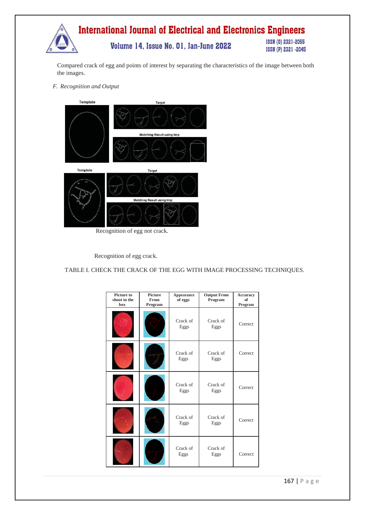

Compared crack of egg and points of interest by separating the characteristics of the image between both the images.

*F. Recognition and Output*



Recognition of egg not crack.

Recognition of egg crack.

TABLE I. CHECK THE CRACK OF THE EGG WITH IMAGE PROCESSING TECHNIQUES.

| <b>Picture to</b><br>shoot in the<br>box | <b>Picture</b><br>From<br>Program | Appearance<br>of eggs | <b>Output From</b><br>Program | Accuracy<br>of<br>Program |
|------------------------------------------|-----------------------------------|-----------------------|-------------------------------|---------------------------|
|                                          |                                   | Crack of<br>Eggs      | Crack of<br>Eggs              | Correct                   |
|                                          |                                   | Crack of<br>Eggs      | Crack of<br>Eggs              | Correct                   |
|                                          |                                   | Crack of<br>Eggs      | Crack of<br>Eggs              | Correct                   |
|                                          |                                   | Crack of<br>Eggs      | Crack of<br>Eggs              | Correct                   |
|                                          |                                   | Crack of<br>Eggs      | Crack of<br>Eggs              | Correct                   |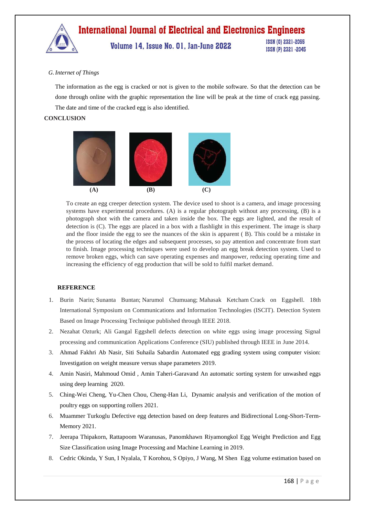

#### *G.Internet of Things*

The information as the egg is cracked or not is given to the mobile software. So that the detection can be done through online with the graphic representation the line will be peak at the time of crack egg passing. The date and time of the cracked egg is also identified.

### **CONCLUSION**



To create an egg creeper detection system. The device used to shoot is a camera, and image processing systems have experimental procedures. (A) is a regular photograph without any processing, (B) is a photograph shot with the camera and taken inside the box. The eggs are lighted, and the result of detection is (C). The eggs are placed in a box with a flashlight in this experiment. The image is sharp and the floor inside the egg to see the nuances of the skin is apparent ( B). This could be a mistake in the process of locating the edges and subsequent processes, so pay attention and concentrate from start to finish. Image processing techniques were used to develop an egg break detection system. Used to remove broken eggs, which can save operating expenses and manpower, reducing operating time and increasing the efficiency of egg production that will be sold to fulfil market demand.

#### **REFERENCE**

- 1. Burin Narin; Sunanta Buntan; Narumol Chumuang; Mahasak Ketcham Crack on Eggshell. 18th International Symposium on Communications and Information Technologies (ISCIT). Detection System Based on Image Processing Technique published through IEEE 2018.
- 2. Nezahat Ozturk; Ali Gangal Eggshell defects detection on white eggs using image processing Signal processing and communication Applications Conference (SIU) published through IEEE in June 2014.
- 3. Ahmad Fakhri Ab Nasir, Siti Suhaila Sabardin Automated egg grading system using computer vision: Investigation on weight measure versus shape parameters 2019.
- 4. Amin Nasiri, Mahmoud Omid , Amin Taheri-Garavand An automatic sorting system for unwashed eggs using deep learning 2020.
- 5. Ching-Wei Cheng, Yu-Chen Chou, Cheng-Han Li, Dynamic analysis and verification of the motion of poultry eggs on supporting rollers 2021.
- 6. Muammer Turkoglu Defective egg detection based on deep features and Bidirectional Long-Short-Term-Memory 2021.
- 7. Jeerapa Thipakorn, Rattapoom Waranusas, Panomkhawn Riyamongkol Egg Weight Prediction and Egg Size Classification using Image Processing and Machine Learning in 2019.
- 8. Cedric Okinda, Y Sun, I Nyalala, T Korohou, S Opiyo, J Wang, M Shen [Egg volume estimation based on](https://scholar.google.com/citations?view_op=view_citation&hl=en&user=62J4ahwAAAAJ&citation_for_view=62J4ahwAAAAJ:LkGwnXOMwfcC)